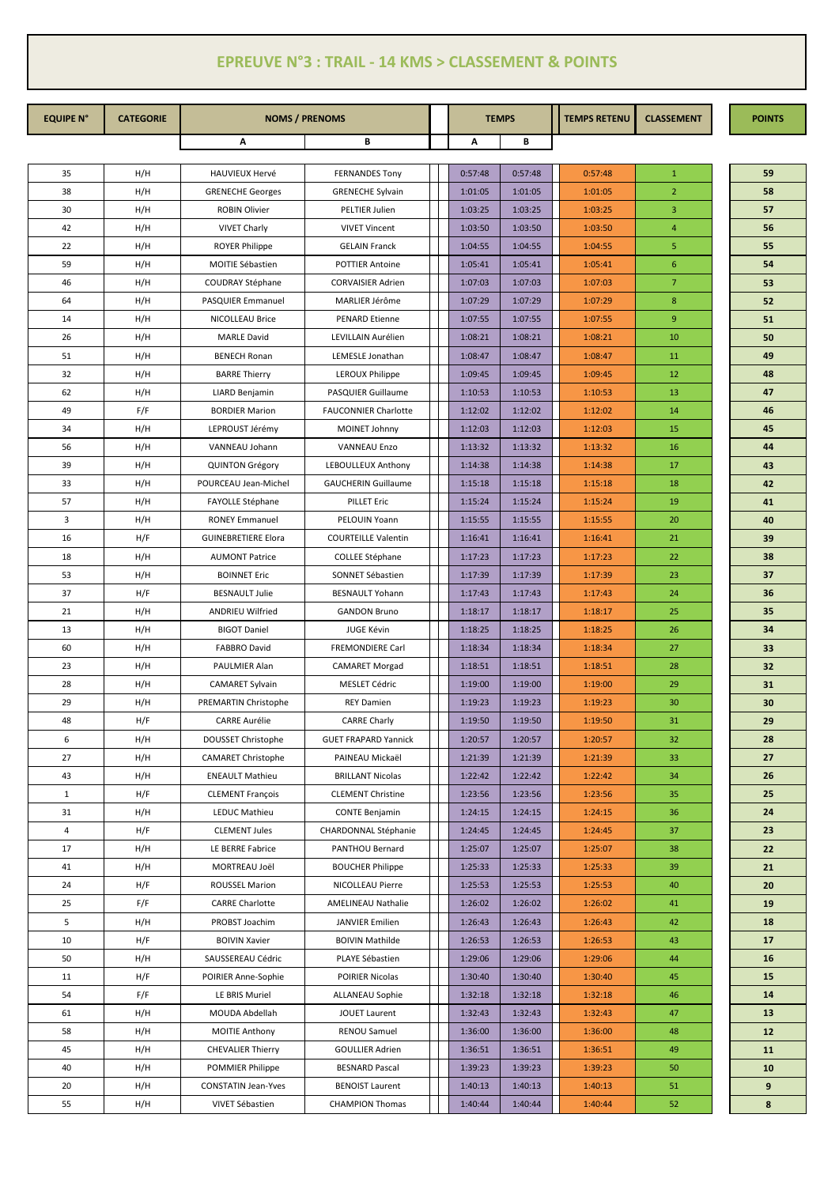## **EPREUVE N°3 : TRAIL - 14 KMS > CLASSEMENT & POINTS**

| <b>EQUIPE N°</b> | <b>CATEGORIE</b> | <b>NOMS / PRENOMS</b>      |                             |  |         | <b>TEMPS</b> | <b>TEMPS RETENU</b> | <b>CLASSEMENT</b> | <b>POINTS</b> |
|------------------|------------------|----------------------------|-----------------------------|--|---------|--------------|---------------------|-------------------|---------------|
|                  |                  | Α                          | В                           |  | В<br>Α  |              |                     |                   |               |
| 35               | H/H              | HAUVIEUX Hervé             | <b>FERNANDES Tony</b>       |  | 0:57:48 | 0:57:48      | 0:57:48             | $\mathbf{1}$      | 59            |
| 38               | H/H              | <b>GRENECHE Georges</b>    | <b>GRENECHE Sylvain</b>     |  | 1:01:05 | 1:01:05      | 1:01:05             | $\overline{2}$    | 58            |
| 30               | H/H              | ROBIN Olivier              | PELTIER Julien              |  | 1:03:25 | 1:03:25      | 1:03:25             | 3                 | 57            |
| 42               | H/H              | <b>VIVET Charly</b>        | <b>VIVET Vincent</b>        |  | 1:03:50 | 1:03:50      | 1:03:50             | $\overline{4}$    | 56            |
| 22               | H/H              | <b>ROYER Philippe</b>      | <b>GELAIN Franck</b>        |  | 1:04:55 | 1:04:55      | 1:04:55             | 5                 | 55            |
| 59               | H/H              | MOITIE Sébastien           | <b>POTTIER Antoine</b>      |  | 1:05:41 | 1:05:41      | 1:05:41             | 6                 | 54            |
| 46               | H/H              | COUDRAY Stéphane           | <b>CORVAISIER Adrien</b>    |  | 1:07:03 | 1:07:03      | 1:07:03             | $\overline{7}$    | 53            |
| 64               | H/H              | PASQUIER Emmanuel          | MARLIER Jérôme              |  | 1:07:29 | 1:07:29      | 1:07:29             | $\bf 8$           | 52            |
| 14               | H/H              | NICOLLEAU Brice            | PENARD Etienne              |  | 1:07:55 | 1:07:55      | 1:07:55             | 9                 | 51            |
| 26               | H/H              | <b>MARLE David</b>         | LEVILLAIN Aurélien          |  | 1:08:21 | 1:08:21      | 1:08:21             | 10                | 50            |
| 51               | H/H              | <b>BENECH Ronan</b>        | LEMESLE Jonathan            |  | 1:08:47 | 1:08:47      | 1:08:47             | 11                | 49            |
| 32               | H/H              | <b>BARRE Thierry</b>       | LEROUX Philippe             |  | 1:09:45 | 1:09:45      | 1:09:45             | 12                | 48            |
| 62               | H/H              | LIARD Benjamin             | PASQUIER Guillaume          |  | 1:10:53 | 1:10:53      | 1:10:53             | 13                | 47            |
| 49               | F/F              | <b>BORDIER Marion</b>      | <b>FAUCONNIER Charlotte</b> |  | 1:12:02 | 1:12:02      | 1:12:02             | 14                | 46            |
| 34               | H/H              | LEPROUST Jérémy            | MOINET Johnny               |  | 1:12:03 | 1:12:03      | 1:12:03             | 15                | 45            |
| 56               | H/H              | VANNEAU Johann             | <b>VANNEAU Enzo</b>         |  | 1:13:32 | 1:13:32      | 1:13:32             | 16                | 44            |
| 39               | H/H              | <b>QUINTON Grégory</b>     | LEBOULLEUX Anthony          |  | 1:14:38 | 1:14:38      | 1:14:38             | 17                | 43            |
| 33               | H/H              | POURCEAU Jean-Michel       | <b>GAUCHERIN Guillaume</b>  |  | 1:15:18 | 1:15:18      | 1:15:18             | 18                | 42            |
| 57               | H/H              | FAYOLLE Stéphane           | <b>PILLET Eric</b>          |  | 1:15:24 | 1:15:24      | 1:15:24             | 19                | 41            |
| 3                | H/H              | <b>RONEY Emmanuel</b>      | PELOUIN Yoann               |  | 1:15:55 | 1:15:55      | 1:15:55             | 20                | 40            |
| 16               | H/F              | <b>GUINEBRETIERE Elora</b> | <b>COURTEILLE Valentin</b>  |  | 1:16:41 | 1:16:41      | 1:16:41             | 21                | 39            |
| 18               | H/H              | <b>AUMONT Patrice</b>      | COLLEE Stéphane             |  | 1:17:23 | 1:17:23      | 1:17:23             | 22                | 38            |
| 53               | H/H              | <b>BOINNET Eric</b>        | SONNET Sébastien            |  | 1:17:39 | 1:17:39      | 1:17:39             | 23                | 37            |
| 37               | H/F              | <b>BESNAULT Julie</b>      | <b>BESNAULT Yohann</b>      |  | 1:17:43 | 1:17:43      | 1:17:43             | 24                | 36            |
| 21               | H/H              | ANDRIEU Wilfried           | <b>GANDON Bruno</b>         |  | 1:18:17 | 1:18:17      | 1:18:17             | 25                | 35            |
| 13               | H/H              | <b>BIGOT Daniel</b>        | JUGE Kévin                  |  | 1:18:25 | 1:18:25      | 1:18:25             | 26                | 34            |
| 60               | H/H              | <b>FABBRO David</b>        | FREMONDIERE Carl            |  | 1:18:34 | 1:18:34      | 1:18:34             | 27                | 33            |
| 23               | H/H              | PAULMIER Alan              | <b>CAMARET Morgad</b>       |  | 1:18:51 | 1:18:51      | 1:18:51             | 28                | 32            |
| 28               | H/H              | <b>CAMARET Sylvain</b>     | MESLET Cédric               |  | 1:19:00 | 1:19:00      | 1:19:00             | 29                | 31            |
| 29               | H/H              | PREMARTIN Christophe       | <b>REY Damien</b>           |  | 1:19:23 | 1:19:23      | 1:19:23             | 30                | 30            |
| 48               | H/F              | CARRE Aurélie              | <b>CARRE Charly</b>         |  | 1:19:50 | 1:19:50      | 1:19:50             | 31                | 29            |
| 6                | H/H              | DOUSSET Christophe         | <b>GUET FRAPARD Yannick</b> |  | 1:20:57 | 1:20:57      | 1:20:57             | 32                | 28            |
| 27               | H/H              | <b>CAMARET Christophe</b>  | PAINEAU Mickaël             |  | 1:21:39 | 1:21:39      | 1:21:39             | 33                | 27            |
| 43               | H/H              | <b>ENEAULT Mathieu</b>     | <b>BRILLANT Nicolas</b>     |  | 1:22:42 | 1:22:42      | 1:22:42             | 34                | 26            |
| $\mathbf{1}$     | H/F              | <b>CLEMENT François</b>    | <b>CLEMENT Christine</b>    |  | 1:23:56 | 1:23:56      | 1:23:56             | 35                | 25            |
| 31               | H/H              | LEDUC Mathieu              | <b>CONTE Benjamin</b>       |  | 1:24:15 | 1:24:15      | 1:24:15             | 36                | 24            |
| 4                | H/F              | <b>CLEMENT Jules</b>       | CHARDONNAL Stéphanie        |  | 1:24:45 | 1:24:45      | 1:24:45             | 37                | 23            |
| 17               | H/H              | LE BERRE Fabrice           | PANTHOU Bernard             |  | 1:25:07 | 1:25:07      | 1:25:07             | 38                | 22            |
| 41               | H/H              | MORTREAU Joël              | <b>BOUCHER Philippe</b>     |  | 1:25:33 | 1:25:33      | 1:25:33             | 39                | 21            |
| 24               | H/F              | <b>ROUSSEL Marion</b>      | NICOLLEAU Pierre            |  | 1:25:53 | 1:25:53      | 1:25:53             | 40                | 20            |
| 25               | F/F              | <b>CARRE Charlotte</b>     | AMELINEAU Nathalie          |  | 1:26:02 | 1:26:02      | 1:26:02             | 41                | 19            |
| 5                | H/H              | PROBST Joachim             | <b>JANVIER Emilien</b>      |  | 1:26:43 | 1:26:43      | 1:26:43             | 42                | 18            |
| 10               | H/F              | <b>BOIVIN Xavier</b>       | <b>BOIVIN Mathilde</b>      |  | 1:26:53 | 1:26:53      | 1:26:53             | 43                | 17            |
| 50               | H/H              | SAUSSEREAU Cédric          | PLAYE Sébastien             |  | 1:29:06 | 1:29:06      | 1:29:06             | 44                | 16            |
| 11               | H/F              | POIRIER Anne-Sophie        | POIRIER Nicolas             |  | 1:30:40 | 1:30:40      | 1:30:40             | 45                | 15            |
| 54               | F/F              | LE BRIS Muriel             | ALLANEAU Sophie             |  | 1:32:18 | 1:32:18      | 1:32:18             | 46                | 14            |
| 61               | H/H              | MOUDA Abdellah             | <b>JOUET Laurent</b>        |  | 1:32:43 | 1:32:43      | 1:32:43             | 47                | 13            |
| 58               | H/H              | <b>MOITIE Anthony</b>      | RENOU Samuel                |  | 1:36:00 | 1:36:00      | 1:36:00             | 48                | 12            |
| 45               | H/H              | <b>CHEVALIER Thierry</b>   | <b>GOULLIER Adrien</b>      |  | 1:36:51 | 1:36:51      | 1:36:51             | 49                | 11            |
| 40               | H/H              | POMMIER Philippe           | <b>BESNARD Pascal</b>       |  | 1:39:23 | 1:39:23      | 1:39:23             | 50                | 10            |
| 20               | H/H              | <b>CONSTATIN Jean-Yves</b> | <b>BENOIST Laurent</b>      |  | 1:40:13 | 1:40:13      | 1:40:13             | 51                | 9             |
| 55               | H/H              | VIVET Sébastien            | <b>CHAMPION Thomas</b>      |  | 1:40:44 | 1:40:44      | 1:40:44             | 52                | 8             |